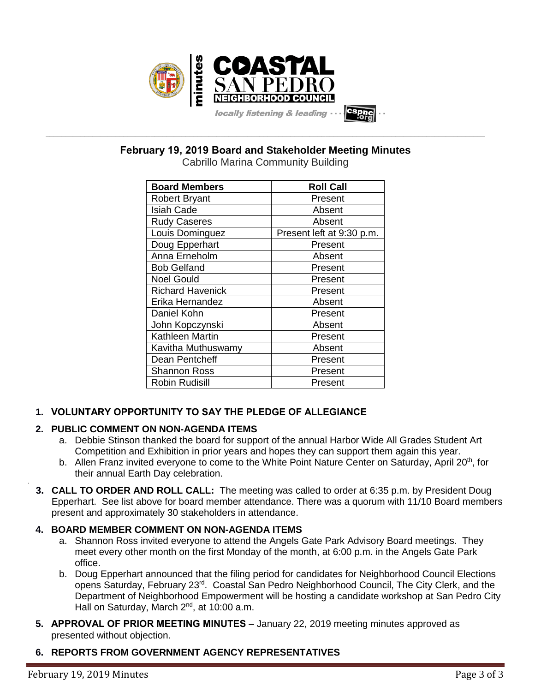

**February 19, 2019 Board and Stakeholder Meeting Minutes**

**\_\_\_\_\_\_\_\_\_\_\_\_\_\_\_\_\_\_\_\_\_\_\_\_\_\_\_\_\_\_\_\_\_\_\_\_\_\_\_\_\_\_\_\_\_\_\_\_\_\_\_\_\_\_\_\_\_\_\_\_\_\_\_\_\_\_\_\_\_\_\_\_\_\_\_\_\_\_\_\_\_\_\_\_\_\_\_\_\_\_\_\_\_\_\_\_\_\_\_\_\_\_\_\_\_\_\_\_\_\_\_\_\_**

| <b>Board Members</b>    | <b>Roll Call</b>          |  |  |
|-------------------------|---------------------------|--|--|
| <b>Robert Bryant</b>    | Present                   |  |  |
| <b>Isiah Cade</b>       | Absent                    |  |  |
| <b>Rudy Caseres</b>     | Absent                    |  |  |
| Louis Dominguez         | Present left at 9:30 p.m. |  |  |
| Doug Epperhart          | Present                   |  |  |
| Anna Erneholm           | Absent                    |  |  |
| <b>Bob Gelfand</b>      | Present                   |  |  |
| <b>Noel Gould</b>       | Present                   |  |  |
| <b>Richard Havenick</b> | Present                   |  |  |
| Erika Hernandez         | Absent                    |  |  |
| Daniel Kohn             | Present                   |  |  |
| John Kopczynski         | Absent                    |  |  |
| <b>Kathleen Martin</b>  | Present                   |  |  |
| Kavitha Muthuswamy      | Absent                    |  |  |
| Dean Pentcheff          | Present                   |  |  |
| <b>Shannon Ross</b>     | Present                   |  |  |
| <b>Robin Rudisill</b>   | Present                   |  |  |

# **1. VOLUNTARY OPPORTUNITY TO SAY THE PLEDGE OF ALLEGIANCE**

# **2. PUBLIC COMMENT ON NON-AGENDA ITEMS**

- a. Debbie Stinson thanked the board for support of the annual Harbor Wide All Grades Student Art Competition and Exhibition in prior years and hopes they can support them again this year.
- b. Allen Franz invited everyone to come to the White Point Nature Center on Saturday, April 20<sup>th</sup>, for their annual Earth Day celebration.
- **3. CALL TO ORDER AND ROLL CALL:** The meeting was called to order at 6:35 p.m. by President Doug Epperhart. See list above for board member attendance. There was a quorum with 11/10 Board members present and approximately 30 stakeholders in attendance.

# **4. BOARD MEMBER COMMENT ON NON-AGENDA ITEMS**

- a. Shannon Ross invited everyone to attend the Angels Gate Park Advisory Board meetings. They meet every other month on the first Monday of the month, at 6:00 p.m. in the Angels Gate Park office.
- b. Doug Epperhart announced that the filing period for candidates for Neighborhood Council Elections opens Saturday, February 23rd. Coastal San Pedro Neighborhood Council, The City Clerk, and the Department of Neighborhood Empowerment will be hosting a candidate workshop at San Pedro City Hall on Saturday, March  $2^{nd}$ , at 10:00 a.m.
- **5. APPROVAL OF PRIOR MEETING MINUTES** January 22, 2019 meeting minutes approved as presented without objection.

# **6. REPORTS FROM GOVERNMENT AGENCY REPRESENTATIVES**

.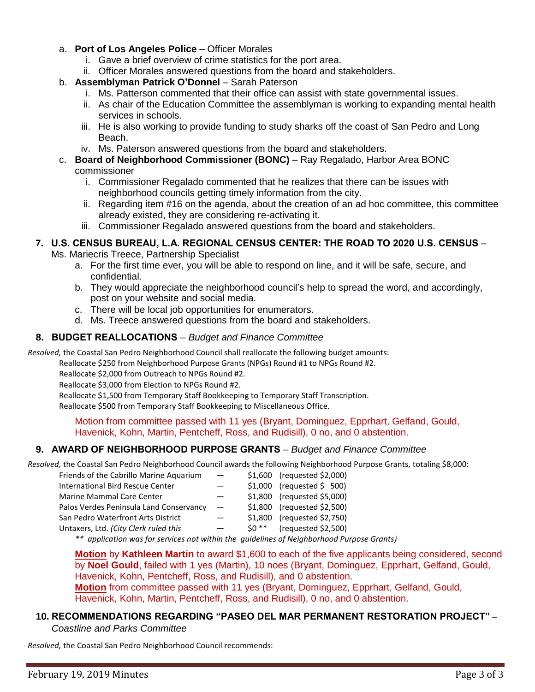- a. **Port of Los Angeles Police** Officer Morales
	- i. Gave a brief overview of crime statistics for the port area.
	- ii. Officer Morales answered questions from the board and stakeholders.
- b. **Assemblyman Patrick O'Donnel** Sarah Paterson
	- i. Ms. Patterson commented that their office can assist with state governmental issues.
	- ii. As chair of the Education Committee the assemblyman is working to expanding mental health services in schools.
	- iii. He is also working to provide funding to study sharks off the coast of San Pedro and Long Beach.
	- iv. Ms. Paterson answered questions from the board and stakeholders.
- c. **Board of Neighborhood Commissioner (BONC)** Ray Regalado, Harbor Area BONC
	- commissioner
		- i. Commissioner Regalado commented that he realizes that there can be issues with neighborhood councils getting timely information from the city.
		- ii. Regarding item #16 on the agenda, about the creation of an ad hoc committee, this committee already existed, they are considering re-activating it.
		- iii. Commissioner Regalado answered questions from the board and stakeholders.

# **7. U.S. CENSUS BUREAU, L.A. REGIONAL CENSUS CENTER: THE ROAD TO 2020 U.S. CENSUS** –

Ms. Mariecris Treece, Partnership Specialist

- a. For the first time ever, you will be able to respond on line, and it will be safe, secure, and confidential.
- b. They would appreciate the neighborhood council's help to spread the word, and accordingly, post on your website and social media.
- c. There will be local job opportunities for enumerators.
- d. Ms. Treece answered questions from the board and stakeholders.

# **8. BUDGET REALLOCATIONS** – *Budget and Finance Committee*

*Resolved,* the Coastal San Pedro Neighborhood Council shall reallocate the following budget amounts:

Reallocate \$250 from Neighborhood Purpose Grants (NPGs) Round #1 to NPGs Round #2.

Reallocate \$2,000 from Outreach to NPGs Round #2.

Reallocate \$3,000 from Election to NPGs Round #2.

Reallocate \$1,500 from Temporary Staff Bookkeeping to Temporary Staff Transcription.

Reallocate \$500 from Temporary Staff Bookkeeping to Miscellaneous Office.

Motion from committee passed with 11 yes (Bryant, Dominguez, Epprhart, Gelfand, Gould, Havenick, Kohn, Martin, Pentcheff, Ross, and Rudisill), 0 no, and 0 abstention.

# **9. AWARD OF NEIGHBORHOOD PURPOSE GRANTS** – *Budget and Finance Committee*

*Resolved,* the Coastal San Pedro Neighborhood Council awards the following Neighborhood Purpose Grants, totaling \$8,000:

| Friends of the Cabrillo Marine Aquarium                                      | $\qquad \qquad -$        | \$1,600 (requested \$2,000) |
|------------------------------------------------------------------------------|--------------------------|-----------------------------|
| <b>International Bird Rescue Center</b>                                      | —                        | $$1,000$ (requested \$ 500) |
| Marine Mammal Care Center                                                    | $\overline{\phantom{0}}$ | \$1,800 (requested \$5,000) |
| Palos Verdes Peninsula Land Conservancy                                      | $\qquad \qquad -$        | \$1,800 (requested \$2,500) |
| San Pedro Waterfront Arts District                                           | $\overline{\phantom{0}}$ | \$1,800 (requested \$2,750) |
| Untaxers, Ltd. (City Clerk ruled this                                        |                          | $$0$ ** (requested \$2,500) |
| ** annlication was for services not within the quidelines of Neighborhood Pu |                          |                             |

 *\*\* application was for services not within the guidelines of Neighborhood Purpose Grants)*

**Motion** by **Kathleen Martin** to award \$1,600 to each of the five applicants being considered, second by **Noel Gould**, failed with 1 yes (Martin), 10 noes (Bryant, Dominguez, Epprhart, Gelfand, Gould, Havenick, Kohn, Pentcheff, Ross, and Rudisill), and 0 abstention. **Motion** from committee passed with 11 yes (Bryant, Dominguez, Epprhart, Gelfand, Gould, Havenick, Kohn, Martin, Pentcheff, Ross, and Rudisill), 0 no, and 0 abstention.

# **10. RECOMMENDATIONS REGARDING "PASEO DEL MAR PERMANENT RESTORATION PROJECT" –**

*Coastline and Parks Committee* 

*Resolved,* the Coastal San Pedro Neighborhood Council recommends: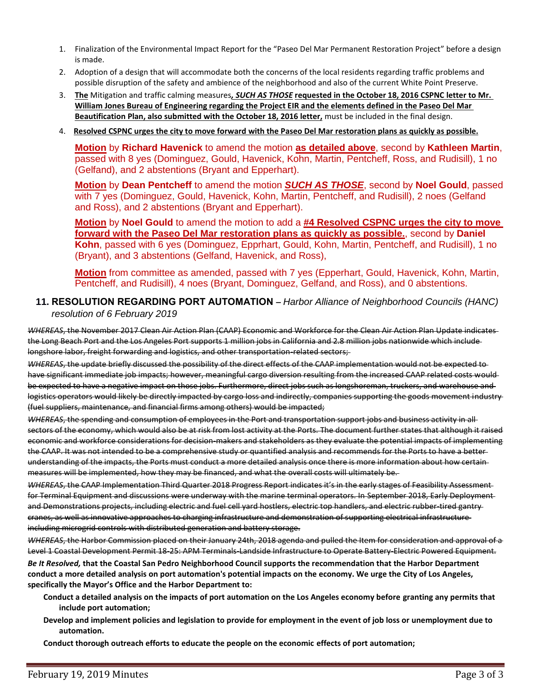- 1. Finalization of the Environmental Impact Report for the "Paseo Del Mar Permanent Restoration Project" before a design is made.
- 2. Adoption of a design that will accommodate both the concerns of the local residents regarding traffic problems and possible disruption of the safety and ambience of the neighborhood and also of the current White Point Preserve.
- 3. **The** Mitigation and traffic calming measures*, SUCH AS THOSE* **requested in the October 18, 2016 CSPNC letter to Mr. William Jones Bureau of Engineering regarding the Project EIR and the elements defined in the Paseo Del Mar Beautification Plan, also submitted with the October 18, 2016 letter,** must be included in the final design.
- 4. **Resolved CSPNC urges the city to move forward with the Paseo Del Mar restoration plans as quickly as possible.**

**Motion** by **Richard Havenick** to amend the motion **as detailed above**, second by **Kathleen Martin**, passed with 8 yes (Dominguez, Gould, Havenick, Kohn, Martin, Pentcheff, Ross, and Rudisill), 1 no (Gelfand), and 2 abstentions (Bryant and Epperhart).

**Motion** by **Dean Pentcheff** to amend the motion *SUCH AS THOSE*, second by **Noel Gould**, passed with 7 yes (Dominguez, Gould, Havenick, Kohn, Martin, Pentcheff, and Rudisill), 2 noes (Gelfand and Ross), and 2 abstentions (Bryant and Epperhart).

**Motion** by **Noel Gould** to amend the motion to add a **#4 Resolved CSPNC urges the city to move forward with the Paseo Del Mar restoration plans as quickly as possible.**, second by **Daniel Kohn**, passed with 6 yes (Dominguez, Epprhart, Gould, Kohn, Martin, Pentcheff, and Rudisill), 1 no (Bryant), and 3 abstentions (Gelfand, Havenick, and Ross),

**Motion** from committee as amended, passed with 7 yes (Epperhart, Gould, Havenick, Kohn, Martin, Pentcheff, and Rudisill), 4 noes (Bryant, Dominguez, Gelfand, and Ross), and 0 abstentions.

#### **11. RESOLUTION REGARDING PORT AUTOMATION –** *Harbor Alliance of Neighborhood Councils (HANC) resolution of 6 February 2019*

*WHEREAS*, the November 2017 Clean Air Action Plan (CAAP) Economic and Workforce for the Clean Air Action Plan Update indicates the Long Beach Port and the Los Angeles Port supports 1 million jobs in California and 2.8 million jobs nationwide which include longshore labor, freight forwarding and logistics, and other transportation-related sectors;

*WHEREAS*, the update briefly discussed the possibility of the direct effects of the CAAP implementation would not be expected to have significant immediate job impacts; however, meaningful cargo diversion resulting from the increased CAAP related costs would be expected to have a negative impact on those jobs. Furthermore, direct jobs such as longshoreman, truckers, and warehouse and logistics operators would likely be directly impacted by cargo loss and indirectly, companies supporting the goods movement industry (fuel suppliers, maintenance, and financial firms among others) would be impacted;

*WHEREAS*, the spending and consumption of employees in the Port and transportation support jobs and business activity in all sectors of the economy, which would also be at risk from lost activity at the Ports. The document further states that although it raised economic and workforce considerations for decision-makers and stakeholders as they evaluate the potential impacts of implementing the CAAP. It was not intended to be a comprehensive study or quantified analysis and recommends for the Ports to have a better understanding of the impacts, the Ports must conduct a more detailed analysis once there is more information about how certain measures will be implemented, how they may be financed, and what the overall costs will ultimately be.

*WHEREAS*, the CAAP Implementation Third Quarter 2018 Progress Report indicates it's in the early stages of Feasibility Assessment for Terminal Equipment and discussions were underway with the marine terminal operators. In September 2018, Early Deployment and Demonstrations projects, including electric and fuel cell yard hostlers, electric top handlers, and electric rubber-tired gantry cranes, as well as innovative approaches to charging infrastructure and demonstration of supporting electrical infrastructure including microgrid controls with distributed generation and battery storage.

*WHEREAS*, the Harbor Commission placed on their January 24th, 2018 agenda and pulled the Item for consideration and approval of a Level 1 Coastal Development Permit 18-25: APM Terminals-Landside Infrastructure to Operate Battery-Electric Powered Equipment.

*Be It Resolved,* **that the Coastal San Pedro Neighborhood Council supports the recommendation that the Harbor Department conduct a more detailed analysis on port automation's potential impacts on the economy. We urge the City of Los Angeles, specifically the Mayor's Office and the Harbor Department to:**

- **Conduct a detailed analysis on the impacts of port automation on the Los Angeles economy before granting any permits that include port automation;**
- **Develop and implement policies and legislation to provide for employment in the event of job loss or unemployment due to automation.**

**Conduct thorough outreach efforts to educate the people on the economic effects of port automation;**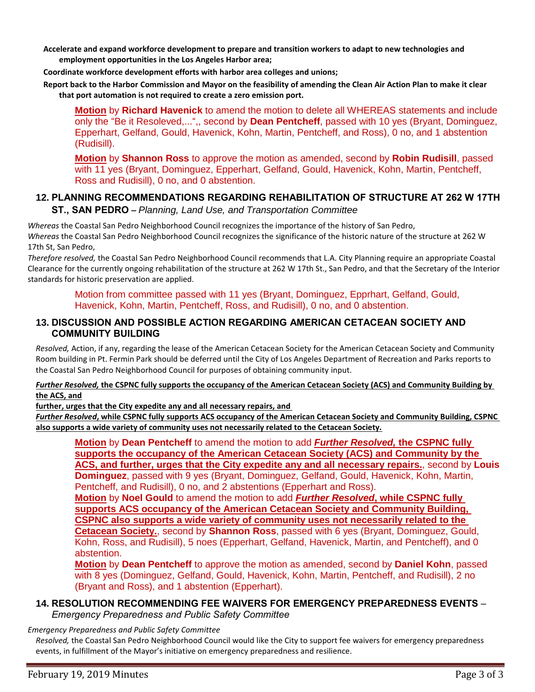**Accelerate and expand workforce development to prepare and transition workers to adapt to new technologies and employment opportunities in the Los Angeles Harbor area;**

**Coordinate workforce development efforts with harbor area colleges and unions;**

**Report back to the Harbor Commission and Mayor on the feasibility of amending the Clean Air Action Plan to make it clear that port automation is not required to create a zero emission port.** 

**Motion** by **Richard Havenick** to amend the motion to delete all WHEREAS statements and include only the "Be it Resoleved,...",, second by **Dean Pentcheff**, passed with 10 yes (Bryant, Dominguez, Epperhart, Gelfand, Gould, Havenick, Kohn, Martin, Pentcheff, and Ross), 0 no, and 1 abstention (Rudisill).

**Motion** by **Shannon Ross** to approve the motion as amended, second by **Robin Rudisill**, passed with 11 yes (Bryant, Dominguez, Epperhart, Gelfand, Gould, Havenick, Kohn, Martin, Pentcheff, Ross and Rudisill), 0 no, and 0 abstention.

#### **12. PLANNING RECOMMENDATIONS REGARDING REHABILITATION OF STRUCTURE AT 262 W 17TH ST., SAN PEDRO –** *Planning, Land Use, and Transportation Committee*

*Whereas* the Coastal San Pedro Neighborhood Council recognizes the importance of the history of San Pedro, *Whereas* the Coastal San Pedro Neighborhood Council recognizes the significance of the historic nature of the structure at 262 W 17th St, San Pedro,

*Therefore resolved,* the Coastal San Pedro Neighborhood Council recommends that L.A. City Planning require an appropriate Coastal Clearance for the currently ongoing rehabilitation of the structure at 262 W 17th St., San Pedro, and that the Secretary of the Interior standards for historic preservation are applied.

Motion from committee passed with 11 yes (Bryant, Dominguez, Epprhart, Gelfand, Gould, Havenick, Kohn, Martin, Pentcheff, Ross, and Rudisill), 0 no, and 0 abstention.

### **13. DISCUSSION AND POSSIBLE ACTION REGARDING AMERICAN CETACEAN SOCIETY AND COMMUNITY BUILDING**

*Resolved,* Action, if any, regarding the lease of the American Cetacean Society for the American Cetacean Society and Community Room building in Pt. Fermin Park should be deferred until the City of Los Angeles Department of Recreation and Parks reports to the Coastal San Pedro Neighborhood Council for purposes of obtaining community input.

*Further Resolved,* **the CSPNC fully supports the occupancy of the American Cetacean Society (ACS) and Community Building by the ACS, and**

**further, urges that the City expedite any and all necessary repairs, and** 

*Further Resolved***, while CSPNC fully supports ACS occupancy of the American Cetacean Society and Community Building, CSPNC also supports a wide variety of community uses not necessarily related to the Cetacean Society.**

**Motion** by **Dean Pentcheff** to amend the motion to add *Further Resolved,* **the CSPNC fully supports the occupancy of the American Cetacean Society (ACS) and Community by the ACS, and further, urges that the City expedite any and all necessary repairs.**, second by **Louis Dominguez**, passed with 9 yes (Bryant, Dominguez, Gelfand, Gould, Havenick, Kohn, Martin, Pentcheff, and Rudisill), 0 no, and 2 abstentions (Epperhart and Ross).

**Motion** by **Noel Gould** to amend the motion to add *Further Resolved***, while CSPNC fully supports ACS occupancy of the American Cetacean Society and Community Building, CSPNC also supports a wide variety of community uses not necessarily related to the Cetacean Society.**, second by **Shannon Ross**, passed with 6 yes (Bryant, Dominguez, Gould, Kohn, Ross, and Rudisill), 5 noes (Epperhart, Gelfand, Havenick, Martin, and Pentcheff), and 0 abstention.

**Motion** by **Dean Pentcheff** to approve the motion as amended, second by **Daniel Kohn**, passed with 8 yes (Dominguez, Gelfand, Gould, Havenick, Kohn, Martin, Pentcheff, and Rudisill), 2 no (Bryant and Ross), and 1 abstention (Epperhart).

# **14. RESOLUTION RECOMMENDING FEE WAIVERS FOR EMERGENCY PREPAREDNESS EVENTS** – *Emergency Preparedness and Public Safety Committee*

#### *Emergency Preparedness and Public Safety Committee*

*Resolved,* the Coastal San Pedro Neighborhood Council would like the City to support fee waivers for emergency preparedness events, in fulfillment of the Mayor's initiative on emergency preparedness and resilience.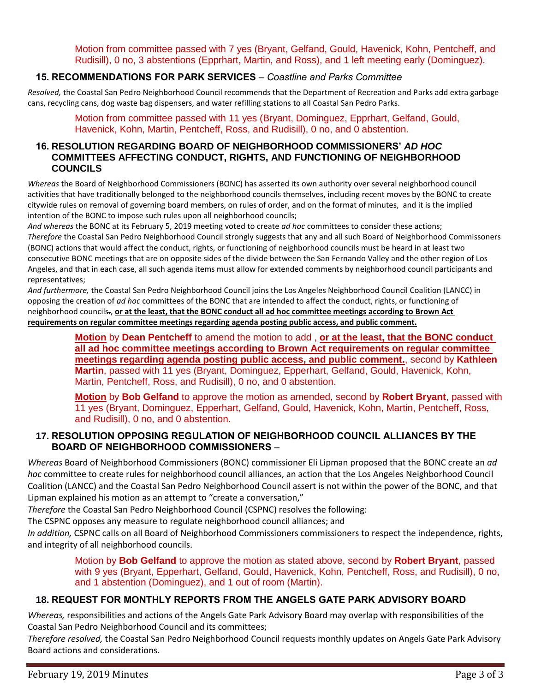Motion from committee passed with 7 yes (Bryant, Gelfand, Gould, Havenick, Kohn, Pentcheff, and Rudisill), 0 no, 3 abstentions (Epprhart, Martin, and Ross), and 1 left meeting early (Dominguez).

# **15. RECOMMENDATIONS FOR PARK SERVICES** – *Coastline and Parks Committee*

*Resolved,* the Coastal San Pedro Neighborhood Council recommends that the Department of Recreation and Parks add extra garbage cans, recycling cans, dog waste bag dispensers, and water refilling stations to all Coastal San Pedro Parks.

Motion from committee passed with 11 yes (Bryant, Dominguez, Epprhart, Gelfand, Gould, Havenick, Kohn, Martin, Pentcheff, Ross, and Rudisill), 0 no, and 0 abstention.

#### **16. RESOLUTION REGARDING BOARD OF NEIGHBORHOOD COMMISSIONERS'** *AD HOC* **COMMITTEES AFFECTING CONDUCT, RIGHTS, AND FUNCTIONING OF NEIGHBORHOOD COUNCILS**

*Whereas* the Board of Neighborhood Commissioners (BONC) has asserted its own authority over several neighborhood council activities that have traditionally belonged to the neighborhood councils themselves, including recent moves by the BONC to create citywide rules on removal of governing board members, on rules of order, and on the format of minutes, and it is the implied intention of the BONC to impose such rules upon all neighborhood councils;

*And whereas* the BONC at its February 5, 2019 meeting voted to create *ad hoc* committees to consider these actions; *Therefore* the Coastal San Pedro Neighborhood Council strongly suggests that any and all such Board of Neighborhood Commissoners (BONC) actions that would affect the conduct, rights, or functioning of neighborhood councils must be heard in at least two consecutive BONC meetings that are on opposite sides of the divide between the San Fernando Valley and the other region of Los Angeles, and that in each case, all such agenda items must allow for extended comments by neighborhood council participants and representatives;

*And furthermore,* the Coastal San Pedro Neighborhood Council joins the Los Angeles Neighborhood Council Coalition (LANCC) in opposing the creation of *ad hoc* committees of the BONC that are intended to affect the conduct, rights, or functioning of neighborhood councils., **or at the least, that the BONC conduct all ad hoc committee meetings according to Brown Act requirements on regular committee meetings regarding agenda posting public access, and public comment.**

> **Motion** by **Dean Pentcheff** to amend the motion to add , **or at the least, that the BONC conduct all ad hoc committee meetings according to Brown Act requirements on regular committee meetings regarding agenda posting public access, and public comment.**, second by **Kathleen Martin**, passed with 11 yes (Bryant, Dominguez, Epperhart, Gelfand, Gould, Havenick, Kohn, Martin, Pentcheff, Ross, and Rudisill), 0 no, and 0 abstention.

**Motion** by **Bob Gelfand** to approve the motion as amended, second by **Robert Bryant**, passed with 11 yes (Bryant, Dominguez, Epperhart, Gelfand, Gould, Havenick, Kohn, Martin, Pentcheff, Ross, and Rudisill), 0 no, and 0 abstention.

# **17. RESOLUTION OPPOSING REGULATION OF NEIGHBORHOOD COUNCIL ALLIANCES BY THE BOARD OF NEIGHBORHOOD COMMISSIONERS** –

*Whereas* Board of Neighborhood Commissioners (BONC) commissioner Eli Lipman proposed that the BONC create an *ad hoc* committee to create rules for neighborhood council alliances, an action that the Los Angeles Neighborhood Council Coalition (LANCC) and the Coastal San Pedro Neighborhood Council assert is not within the power of the BONC, and that Lipman explained his motion as an attempt to "create a conversation,"

*Therefore* the Coastal San Pedro Neighborhood Council (CSPNC) resolves the following:

The CSPNC opposes any measure to regulate neighborhood council alliances; and

*In addition,* CSPNC calls on all Board of Neighborhood Commissioners commissioners to respect the independence, rights, and integrity of all neighborhood councils.

Motion by **Bob Gelfand** to approve the motion as stated above, second by **Robert Bryant**, passed with 9 yes (Bryant, Epperhart, Gelfand, Gould, Havenick, Kohn, Pentcheff, Ross, and Rudisill), 0 no, and 1 abstention (Dominguez), and 1 out of room (Martin).

# **18. REQUEST FOR MONTHLY REPORTS FROM THE ANGELS GATE PARK ADVISORY BOARD**

*Whereas,* responsibilities and actions of the Angels Gate Park Advisory Board may overlap with responsibilities of the Coastal San Pedro Neighborhood Council and its committees;

*Therefore resolved,* the Coastal San Pedro Neighborhood Council requests monthly updates on Angels Gate Park Advisory Board actions and considerations.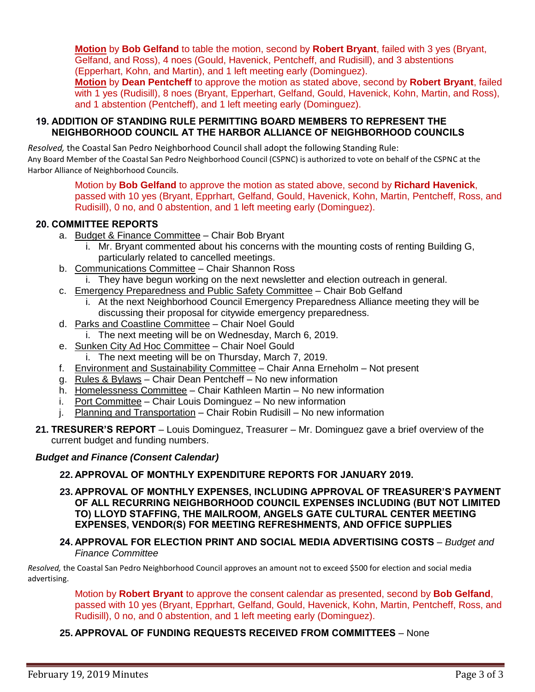**Motion** by **Bob Gelfand** to table the motion, second by **Robert Bryant**, failed with 3 yes (Bryant, Gelfand, and Ross), 4 noes (Gould, Havenick, Pentcheff, and Rudisill), and 3 abstentions (Epperhart, Kohn, and Martin), and 1 left meeting early (Dominguez).

**Motion** by **Dean Pentcheff** to approve the motion as stated above, second by **Robert Bryant**, failed with 1 yes (Rudisill), 8 noes (Bryant, Epperhart, Gelfand, Gould, Havenick, Kohn, Martin, and Ross), and 1 abstention (Pentcheff), and 1 left meeting early (Dominguez).

#### **19. ADDITION OF STANDING RULE PERMITTING BOARD MEMBERS TO REPRESENT THE NEIGHBORHOOD COUNCIL AT THE HARBOR ALLIANCE OF NEIGHBORHOOD COUNCILS**

*Resolved,* the Coastal San Pedro Neighborhood Council shall adopt the following Standing Rule: Any Board Member of the Coastal San Pedro Neighborhood Council (CSPNC) is authorized to vote on behalf of the CSPNC at the Harbor Alliance of Neighborhood Councils.

> Motion by **Bob Gelfand** to approve the motion as stated above, second by **Richard Havenick**, passed with 10 yes (Bryant, Epprhart, Gelfand, Gould, Havenick, Kohn, Martin, Pentcheff, Ross, and Rudisill), 0 no, and 0 abstention, and 1 left meeting early (Dominguez).

# **20. COMMITTEE REPORTS**

- a. Budget & Finance Committee Chair Bob Bryant
	- i. Mr. Bryant commented about his concerns with the mounting costs of renting Building G, particularly related to cancelled meetings.
- b. Communications Committee Chair Shannon Ross
	- i. They have begun working on the next newsletter and election outreach in general.
- c. Emergency Preparedness and Public Safety Committee Chair Bob Gelfand
	- i. At the next Neighborhood Council Emergency Preparedness Alliance meeting they will be discussing their proposal for citywide emergency preparedness.
- d. Parks and Coastline Committee Chair Noel Gould
	- i. The next meeting will be on Wednesday, March 6, 2019.
- e. Sunken City Ad Hoc Committee Chair Noel Gould
	- i. The next meeting will be on Thursday, March 7, 2019.
- f. Environment and Sustainability Committee Chair Anna Erneholm Not present
- g. Rules & Bylaws Chair Dean Pentcheff No new information
- h. Homelessness Committee Chair Kathleen Martin No new information
- i. Port Committee Chair Louis Dominguez No new information
- j. Planning and Transportation Chair Robin Rudisill No new information
- **21. TRESURER'S REPORT** Louis Dominguez, Treasurer Mr. Dominguez gave a brief overview of the current budget and funding numbers.

# *Budget and Finance (Consent Calendar)*

# **22. APPROVAL OF MONTHLY EXPENDITURE REPORTS FOR JANUARY 2019.**

**23. APPROVAL OF MONTHLY EXPENSES, INCLUDING APPROVAL OF TREASURER'S PAYMENT OF ALL RECURRING NEIGHBORHOOD COUNCIL EXPENSES INCLUDING (BUT NOT LIMITED TO) LLOYD STAFFING, THE MAILROOM, ANGELS GATE CULTURAL CENTER MEETING EXPENSES, VENDOR(S) FOR MEETING REFRESHMENTS, AND OFFICE SUPPLIES**

#### **24. APPROVAL FOR ELECTION PRINT AND SOCIAL MEDIA ADVERTISING COSTS** – *Budget and Finance Committee*

*Resolved,* the Coastal San Pedro Neighborhood Council approves an amount not to exceed \$500 for election and social media advertising.

Motion by **Robert Bryant** to approve the consent calendar as presented, second by **Bob Gelfand**, passed with 10 yes (Bryant, Epprhart, Gelfand, Gould, Havenick, Kohn, Martin, Pentcheff, Ross, and Rudisill), 0 no, and 0 abstention, and 1 left meeting early (Dominguez).

# **25. APPROVAL OF FUNDING REQUESTS RECEIVED FROM COMMITTEES** – None